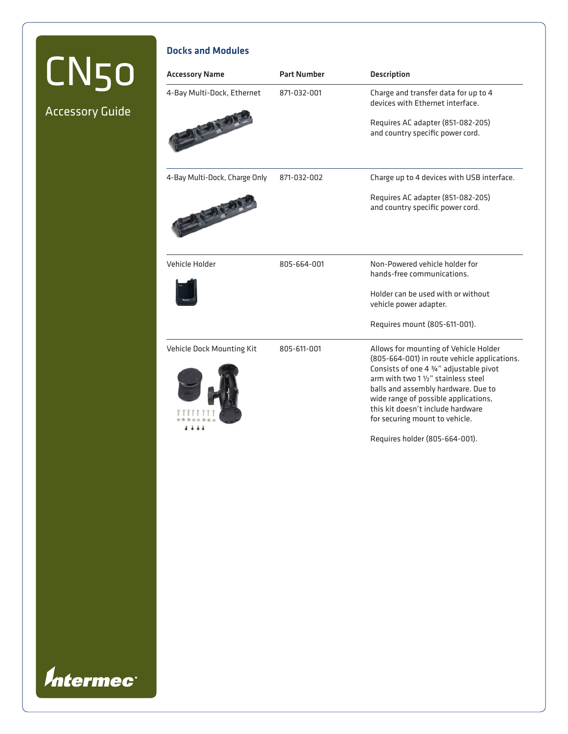# CN50

Accessory Guide

## Docks and Modules

| <b>Accessory Name</b>         | <b>Part Number</b> | <b>Description</b>                                                                                                                                                                                                                                                                                                            |
|-------------------------------|--------------------|-------------------------------------------------------------------------------------------------------------------------------------------------------------------------------------------------------------------------------------------------------------------------------------------------------------------------------|
| 4-Bay Multi-Dock, Ethernet    | 871-032-001        | Charge and transfer data for up to 4<br>devices with Ethernet interface.                                                                                                                                                                                                                                                      |
|                               |                    | Requires AC adapter (851-082-205)<br>and country specific power cord.                                                                                                                                                                                                                                                         |
| 4-Bay Multi-Dock, Charge Only | 871-032-002        | Charge up to 4 devices with USB interface.                                                                                                                                                                                                                                                                                    |
|                               |                    | Requires AC adapter (851-082-205)<br>and country specific power cord.                                                                                                                                                                                                                                                         |
| Vehicle Holder                | 805-664-001        | Non-Powered vehicle holder for<br>hands-free communications.                                                                                                                                                                                                                                                                  |
|                               |                    | Holder can be used with or without<br>vehicle power adapter.                                                                                                                                                                                                                                                                  |
|                               |                    | Requires mount (805-611-001).                                                                                                                                                                                                                                                                                                 |
| Vehicle Dock Mounting Kit     | 805-611-001        | Allows for mounting of Vehicle Holder<br>(805-664-001) in route vehicle applications.<br>Consists of one 4 3/4" adjustable pivot<br>arm with two 1 1/2" stainless steel<br>balls and assembly hardware. Due to<br>wide range of possible applications,<br>this kit doesn't include hardware<br>for securing mount to vehicle. |

Requires holder (805-664-001).

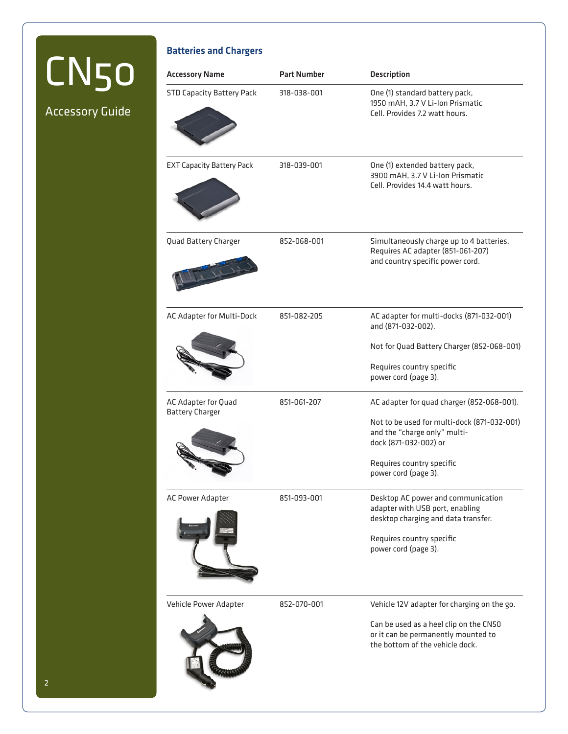## CN50

Accessory Guide

## Batteries and Chargers

| <b>Accessory Name</b>                         | <b>Part Number</b> | <b>Description</b>                                                                                                                                                                                      |
|-----------------------------------------------|--------------------|---------------------------------------------------------------------------------------------------------------------------------------------------------------------------------------------------------|
| <b>STD Capacity Battery Pack</b>              | 318-038-001        | One (1) standard battery pack,<br>1950 mAH, 3.7 V Li-Ion Prismatic<br>Cell. Provides 7.2 watt hours.                                                                                                    |
| <b>EXT Capacity Battery Pack</b>              | 318-039-001        | One (1) extended battery pack,<br>3900 mAH, 3.7 V Li-Ion Prismatic<br>Cell, Provides 14.4 watt hours.                                                                                                   |
| Quad Battery Charger                          | 852-068-001        | Simultaneously charge up to 4 batteries.<br>Requires AC adapter (851-061-207)<br>and country specific power cord.                                                                                       |
| AC Adapter for Multi-Dock                     | 851-082-205        | AC adapter for multi-docks (871-032-001)<br>and (871-032-002).<br>Not for Quad Battery Charger (852-068-001)<br>Requires country specific<br>power cord (page 3).                                       |
| AC Adapter for Quad<br><b>Battery Charger</b> | 851-061-207        | AC adapter for quad charger (852-068-001).<br>Not to be used for multi-dock (871-032-001)<br>and the "charge only" multi-<br>dock (871-032-002) or<br>Requires country specific<br>power cord (page 3). |
| AC Power Adapter                              | 851-093-001        | Desktop AC power and communication<br>adapter with USB port, enabling<br>desktop charging and data transfer.<br>Requires country specific<br>power cord (page 3).                                       |
| Vehicle Power Adapter                         | 852-070-001        | Vehicle 12V adapter for charging on the go.<br>Can be used as a heel clip on the CN50<br>or it can be permanently mounted to<br>the bottom of the vehicle dock.                                         |